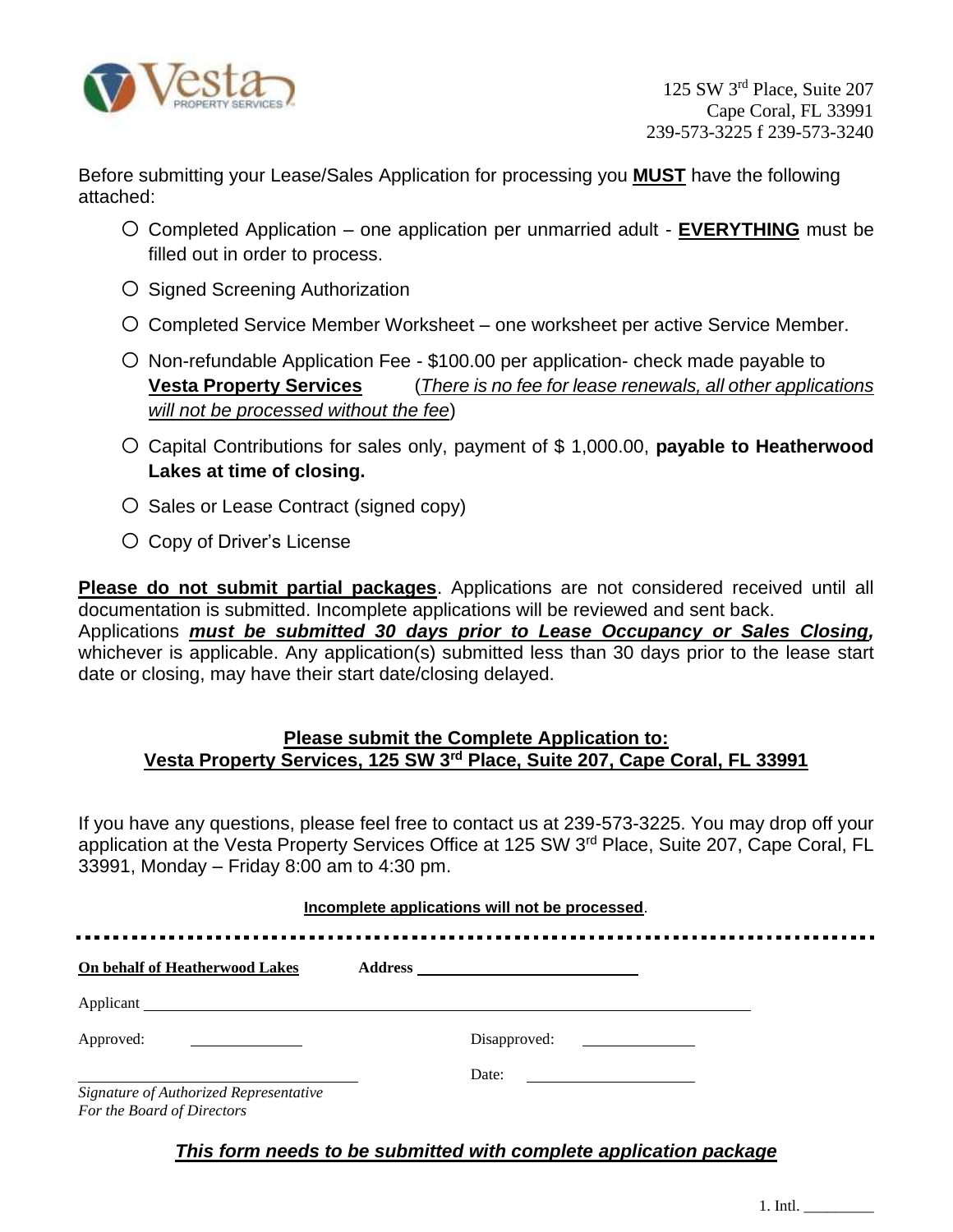

Before submitting your Lease/Sales Application for processing you **MUST** have the following attached:

- o Completed Application one application per unmarried adult **EVERYTHING** must be filled out in order to process.
- o Signed Screening Authorization
- o Completed Service Member Worksheet one worksheet per active Service Member.
- $\circ$  Non-refundable Application Fee \$100.00 per application- check made payable to **Vesta Property Services** (*There is no fee for lease renewals, all other applications will not be processed without the fee*)
- o Capital Contributions for sales only, payment of \$ 1,000.00, **payable to Heatherwood Lakes at time of closing.**
- o Sales or Lease Contract (signed copy)
- o Copy of Driver's License

**Please do not submit partial packages**. Applications are not considered received until all documentation is submitted. Incomplete applications will be reviewed and sent back. Applications *must be submitted 30 days prior to Lease Occupancy or Sales Closing,* whichever is applicable. Any application(s) submitted less than 30 days prior to the lease start date or closing, may have their start date/closing delayed.

# **Please submit the Complete Application to: Vesta Property Services, 125 SW 3rd Place, Suite 207, Cape Coral, FL 33991**

If you have any questions, please feel free to contact us at 239-573-3225. You may drop off your application at the Vesta Property Services Office at 125 SW 3<sup>rd</sup> Place, Suite 207, Cape Coral, FL 33991, Monday – Friday 8:00 am to 4:30 pm.

#### **Incomplete applications will not be processed**.

| On behalf of Heatherwood Lakes                                       |                                                         |
|----------------------------------------------------------------------|---------------------------------------------------------|
|                                                                      |                                                         |
| Approved:                                                            | Disapproved:                                            |
|                                                                      | Date:<br><u> 1980 - Jan Barbara Barbara, manazarta </u> |
| Signature of Authorized Representative<br>For the Board of Directors |                                                         |

# *This form needs to be submitted with complete application package*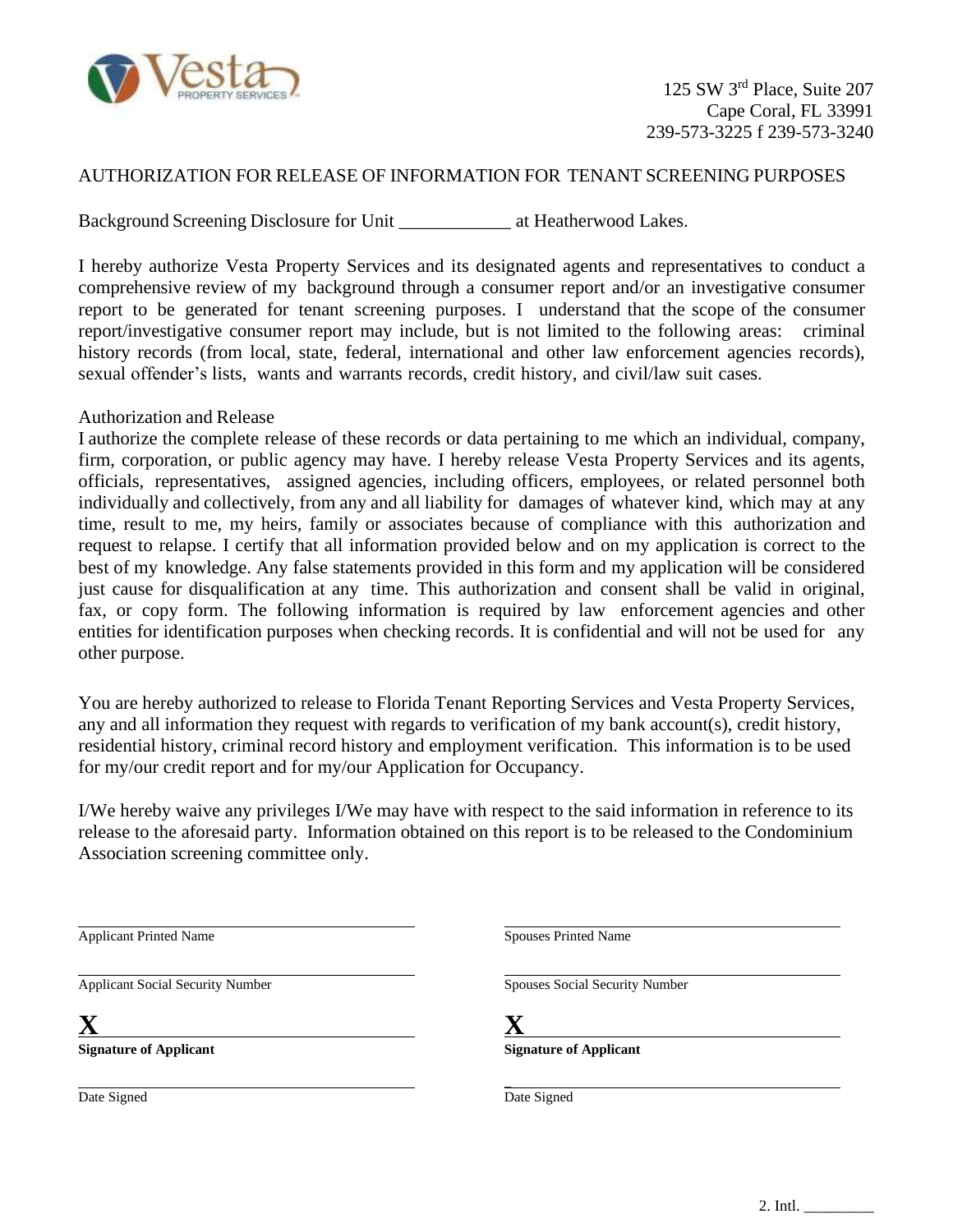

### AUTHORIZATION FOR RELEASE OF INFORMATION FOR TENANT SCREENING PURPOSES

Background Screening Disclosure for Unit \_\_\_\_\_\_\_\_\_\_\_\_ at Heatherwood Lakes.

I hereby authorize Vesta Property Services and its designated agents and representatives to conduct a comprehensive review of my background through a consumer report and/or an investigative consumer report to be generated for tenant screening purposes. I understand that the scope of the consumer report/investigative consumer report may include, but is not limited to the following areas: criminal history records (from local, state, federal, international and other law enforcement agencies records), sexual offender's lists, wants and warrants records, credit history, and civil/law suit cases.

#### Authorization and Release

I authorize the complete release of these records or data pertaining to me which an individual, company, firm, corporation, or public agency may have. I hereby release Vesta Property Services and its agents, officials, representatives, assigned agencies, including officers, employees, or related personnel both individually and collectively, from any and all liability for damages of whatever kind, which may at any time, result to me, my heirs, family or associates because of compliance with this authorization and request to relapse. I certify that all information provided below and on my application is correct to the best of my knowledge. Any false statements provided in this form and my application will be considered just cause for disqualification at any time. This authorization and consent shall be valid in original, fax, or copy form. The following information is required by law enforcement agencies and other entities for identification purposes when checking records. It is confidential and will not be used for any other purpose.

You are hereby authorized to release to Florida Tenant Reporting Services and Vesta Property Services, any and all information they request with regards to verification of my bank account(s), credit history, residential history, criminal record history and employment verification. This information is to be used for my/our credit report and for my/our Application for Occupancy.

I/We hereby waive any privileges I/We may have with respect to the said information in reference to its release to the aforesaid party. Information obtained on this report is to be released to the Condominium Association screening committee only.

Applicant Printed Name

Applicant Social Security Number

**X**

**Signature of Applicant**

Date Signed

Spouses Printed Name

Spouses Social Security Number

**X**

 $\overline{\phantom{a}}$ 

**Signature of Applicant**

Date Signed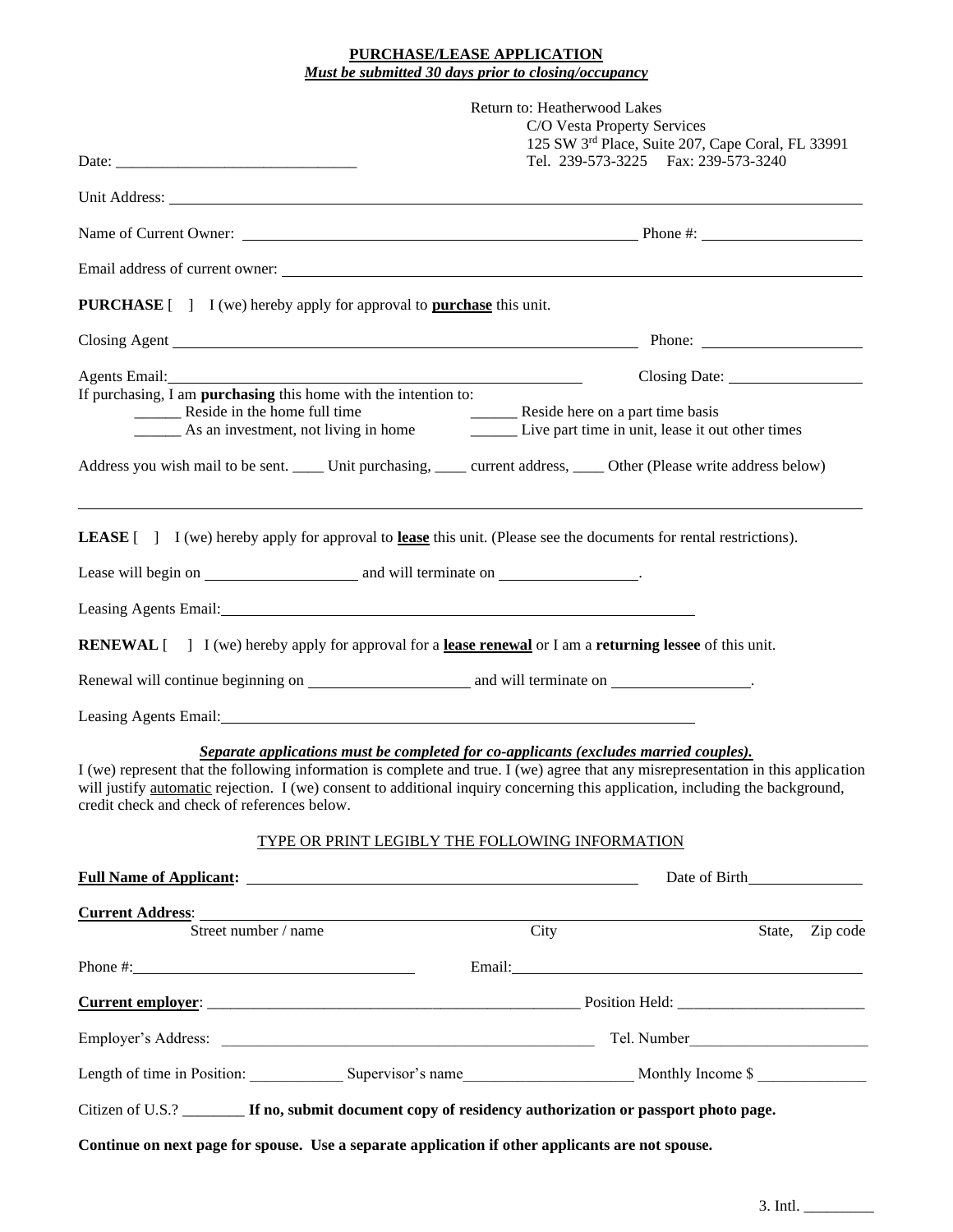#### **PURCHASE/LEASE APPLICATION** *Must be submitted 30 days prior to closing/occupancy*

|                                                                                                                                                                                                                                      | Return to: Heatherwood Lakes<br>C/O Vesta Property Services<br>125 SW 3rd Place, Suite 207, Cape Coral, FL 33991                                                                                                                                                                                                                                                                                               |  |  |  |  |
|--------------------------------------------------------------------------------------------------------------------------------------------------------------------------------------------------------------------------------------|----------------------------------------------------------------------------------------------------------------------------------------------------------------------------------------------------------------------------------------------------------------------------------------------------------------------------------------------------------------------------------------------------------------|--|--|--|--|
|                                                                                                                                                                                                                                      |                                                                                                                                                                                                                                                                                                                                                                                                                |  |  |  |  |
|                                                                                                                                                                                                                                      | Tel. 239-573-3225  Fax: 239-573-3240                                                                                                                                                                                                                                                                                                                                                                           |  |  |  |  |
|                                                                                                                                                                                                                                      | Unit Address: <u>New York: New York: New York: New York: New York: New York: New York: New York: New York: New York: New York: New York: New York: New York: New York: New York: New York: New York: New York: New York: New Yor</u>                                                                                                                                                                           |  |  |  |  |
|                                                                                                                                                                                                                                      |                                                                                                                                                                                                                                                                                                                                                                                                                |  |  |  |  |
|                                                                                                                                                                                                                                      |                                                                                                                                                                                                                                                                                                                                                                                                                |  |  |  |  |
| <b>PURCHASE</b> [ ] I (we) hereby apply for approval to <b>purchase</b> this unit.                                                                                                                                                   |                                                                                                                                                                                                                                                                                                                                                                                                                |  |  |  |  |
|                                                                                                                                                                                                                                      |                                                                                                                                                                                                                                                                                                                                                                                                                |  |  |  |  |
|                                                                                                                                                                                                                                      |                                                                                                                                                                                                                                                                                                                                                                                                                |  |  |  |  |
| If purchasing, I am <b>purchasing</b> this home with the intention to:<br>__________ Reside in the home full time                                                                                                                    |                                                                                                                                                                                                                                                                                                                                                                                                                |  |  |  |  |
|                                                                                                                                                                                                                                      | Reside in the home full time<br>As an investment, not living in home<br>Live part time in unit, lease it out other times                                                                                                                                                                                                                                                                                       |  |  |  |  |
|                                                                                                                                                                                                                                      | Address you wish mail to be sent. _____ Unit purchasing, _____ current address, ____ Other (Please write address below)                                                                                                                                                                                                                                                                                        |  |  |  |  |
| <b>LEASE</b> [] I (we) hereby apply for approval to lease this unit. (Please see the documents for rental restrictions).                                                                                                             |                                                                                                                                                                                                                                                                                                                                                                                                                |  |  |  |  |
|                                                                                                                                                                                                                                      |                                                                                                                                                                                                                                                                                                                                                                                                                |  |  |  |  |
| Leasing Agents Email: <u>contract and a series of the series of the series of the series of the series of the series of the series of the series of the series of the series of the series of the series of the series of the se</u> |                                                                                                                                                                                                                                                                                                                                                                                                                |  |  |  |  |
| <b>RENEWAL</b> [] I (we) hereby apply for approval for a <b>lease renewal</b> or I am a <b>returning lessee</b> of this unit.                                                                                                        |                                                                                                                                                                                                                                                                                                                                                                                                                |  |  |  |  |
|                                                                                                                                                                                                                                      |                                                                                                                                                                                                                                                                                                                                                                                                                |  |  |  |  |
|                                                                                                                                                                                                                                      |                                                                                                                                                                                                                                                                                                                                                                                                                |  |  |  |  |
| Leasing Agents Email: 1999 March 2008 Street Street Street Street Street Street Street Street Street Street Street Street Street Street Street Street Street Street Street Street Street Street Street Street Street Street St       |                                                                                                                                                                                                                                                                                                                                                                                                                |  |  |  |  |
| credit check and check of references below.                                                                                                                                                                                          | Separate applications must be completed for co-applicants (excludes married couples).<br>I (we) represent that the following information is complete and true. I (we) agree that any misrepresentation in this application<br>will justify automatic rejection. I (we) consent to additional inquiry concerning this application, including the background,<br>TYPE OR PRINT LEGIBLY THE FOLLOWING INFORMATION |  |  |  |  |
|                                                                                                                                                                                                                                      |                                                                                                                                                                                                                                                                                                                                                                                                                |  |  |  |  |
| <u>Current Address:</u>                                                                                                                                                                                                              |                                                                                                                                                                                                                                                                                                                                                                                                                |  |  |  |  |
| Street number / name                                                                                                                                                                                                                 | City<br>State, Zip code                                                                                                                                                                                                                                                                                                                                                                                        |  |  |  |  |
|                                                                                                                                                                                                                                      |                                                                                                                                                                                                                                                                                                                                                                                                                |  |  |  |  |
|                                                                                                                                                                                                                                      |                                                                                                                                                                                                                                                                                                                                                                                                                |  |  |  |  |
|                                                                                                                                                                                                                                      |                                                                                                                                                                                                                                                                                                                                                                                                                |  |  |  |  |
|                                                                                                                                                                                                                                      | Length of time in Position: Supervisor's name Monthly Income \$                                                                                                                                                                                                                                                                                                                                                |  |  |  |  |
| Citizen of U.S.? <b>If no, submit document copy of residency authorization or passport photo page.</b>                                                                                                                               |                                                                                                                                                                                                                                                                                                                                                                                                                |  |  |  |  |
| Continue on next page for spouse. Use a separate application if other applicants are not spouse.                                                                                                                                     |                                                                                                                                                                                                                                                                                                                                                                                                                |  |  |  |  |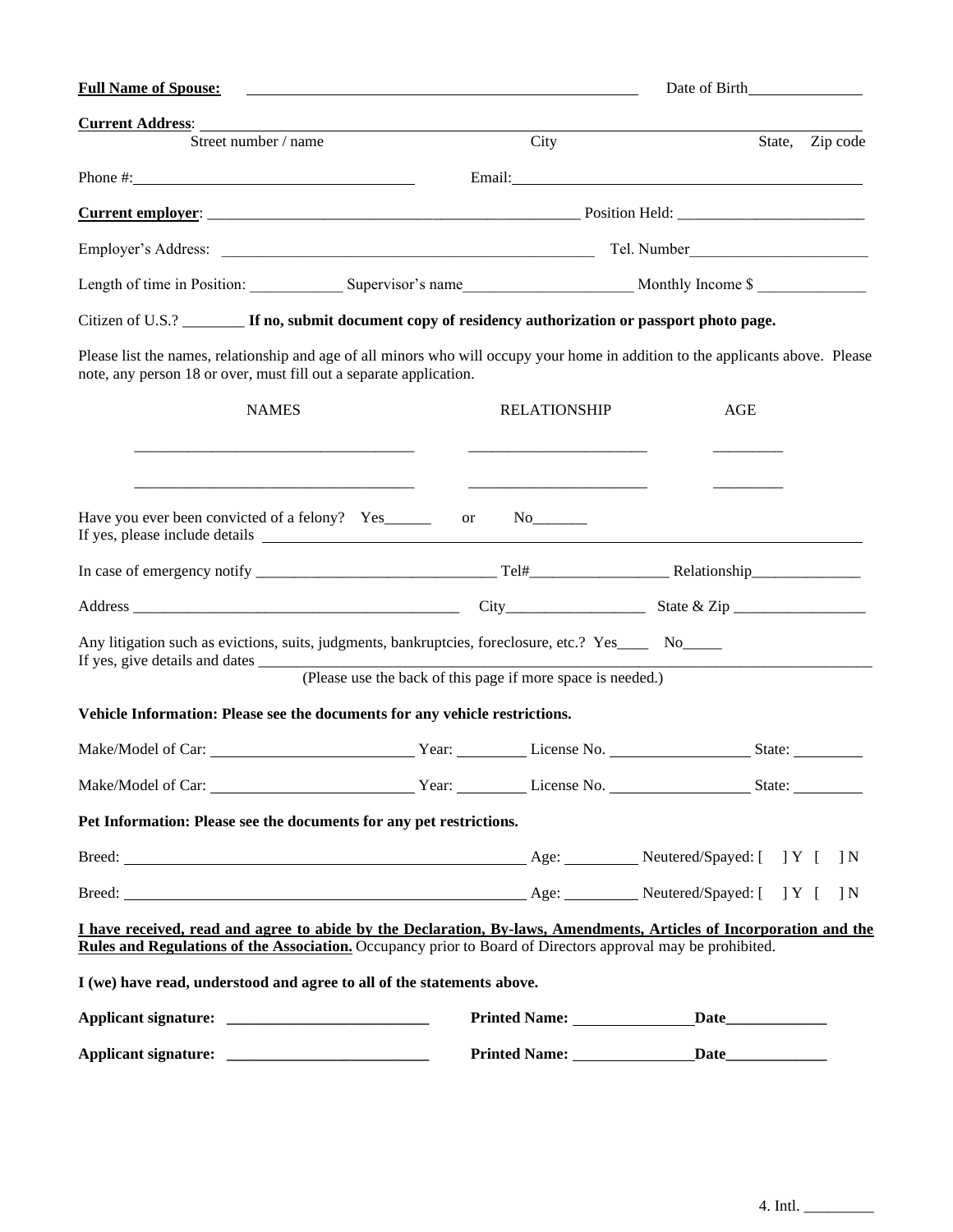| <b>Full Name of Spouse:</b>                                                                                                                                                                                                                                                                            |                                                             | Date of Birth       |                                                                                                                                                                                                                                |                 |  |
|--------------------------------------------------------------------------------------------------------------------------------------------------------------------------------------------------------------------------------------------------------------------------------------------------------|-------------------------------------------------------------|---------------------|--------------------------------------------------------------------------------------------------------------------------------------------------------------------------------------------------------------------------------|-----------------|--|
| <b>Current Address:</b><br>Street number / name                                                                                                                                                                                                                                                        |                                                             | City                |                                                                                                                                                                                                                                | State, Zip code |  |
|                                                                                                                                                                                                                                                                                                        |                                                             |                     |                                                                                                                                                                                                                                |                 |  |
| Phone #: $\frac{1}{2}$ = $\frac{1}{2}$ = $\frac{1}{2}$ = $\frac{1}{2}$ = $\frac{1}{2}$ = $\frac{1}{2}$ = $\frac{1}{2}$ = $\frac{1}{2}$ = $\frac{1}{2}$ = $\frac{1}{2}$ = $\frac{1}{2}$ = $\frac{1}{2}$ = $\frac{1}{2}$ = $\frac{1}{2}$ = $\frac{1}{2}$ = $\frac{1}{2}$ = $\frac{1}{2}$ = $\frac{1}{2}$ |                                                             |                     | Email: No. 2014 19:00 Percent Contract Contract Contract Contract Contract Contract Contract Contract Contract Contract Contract Contract Contract Contract Contract Contract Contract Contract Contract Contract Contract Con |                 |  |
|                                                                                                                                                                                                                                                                                                        |                                                             |                     |                                                                                                                                                                                                                                |                 |  |
|                                                                                                                                                                                                                                                                                                        |                                                             |                     |                                                                                                                                                                                                                                |                 |  |
|                                                                                                                                                                                                                                                                                                        |                                                             |                     |                                                                                                                                                                                                                                |                 |  |
| Citizen of U.S.? <b>If no, submit document copy of residency authorization or passport photo page.</b>                                                                                                                                                                                                 |                                                             |                     |                                                                                                                                                                                                                                |                 |  |
| Please list the names, relationship and age of all minors who will occupy your home in addition to the applicants above. Please<br>note, any person 18 or over, must fill out a separate application.                                                                                                  |                                                             |                     |                                                                                                                                                                                                                                |                 |  |
| <b>NAMES</b>                                                                                                                                                                                                                                                                                           |                                                             | <b>RELATIONSHIP</b> | <b>AGE</b>                                                                                                                                                                                                                     |                 |  |
| If yes, please include details express and the set of the set of the set of the set of the set of the set of the set of the set of the set of the set of the set of the set of the set of the set of the set of the set of the                                                                         |                                                             |                     |                                                                                                                                                                                                                                |                 |  |
|                                                                                                                                                                                                                                                                                                        |                                                             |                     |                                                                                                                                                                                                                                |                 |  |
| Any litigation such as evictions, suits, judgments, bankruptcies, foreclosure, etc.? Yes No                                                                                                                                                                                                            | (Please use the back of this page if more space is needed.) |                     |                                                                                                                                                                                                                                |                 |  |
| Vehicle Information: Please see the documents for any vehicle restrictions.                                                                                                                                                                                                                            |                                                             |                     |                                                                                                                                                                                                                                |                 |  |
|                                                                                                                                                                                                                                                                                                        |                                                             |                     |                                                                                                                                                                                                                                |                 |  |
|                                                                                                                                                                                                                                                                                                        |                                                             |                     |                                                                                                                                                                                                                                |                 |  |
| Pet Information: Please see the documents for any pet restrictions.                                                                                                                                                                                                                                    |                                                             |                     |                                                                                                                                                                                                                                |                 |  |
|                                                                                                                                                                                                                                                                                                        |                                                             |                     |                                                                                                                                                                                                                                |                 |  |
|                                                                                                                                                                                                                                                                                                        |                                                             |                     |                                                                                                                                                                                                                                |                 |  |
| I have received, read and agree to abide by the Declaration, By-laws, Amendments, Articles of Incorporation and the<br>Rules and Regulations of the Association. Occupancy prior to Board of Directors approval may be prohibited.                                                                     |                                                             |                     |                                                                                                                                                                                                                                |                 |  |
| I (we) have read, understood and agree to all of the statements above.                                                                                                                                                                                                                                 |                                                             |                     |                                                                                                                                                                                                                                |                 |  |
|                                                                                                                                                                                                                                                                                                        |                                                             |                     |                                                                                                                                                                                                                                |                 |  |
|                                                                                                                                                                                                                                                                                                        |                                                             |                     |                                                                                                                                                                                                                                |                 |  |

4. Intl.  $\frac{1}{\sqrt{1-\frac{1}{2}}\sqrt{1-\frac{1}{2}}\left\{1-\frac{1}{2}\right\}}$